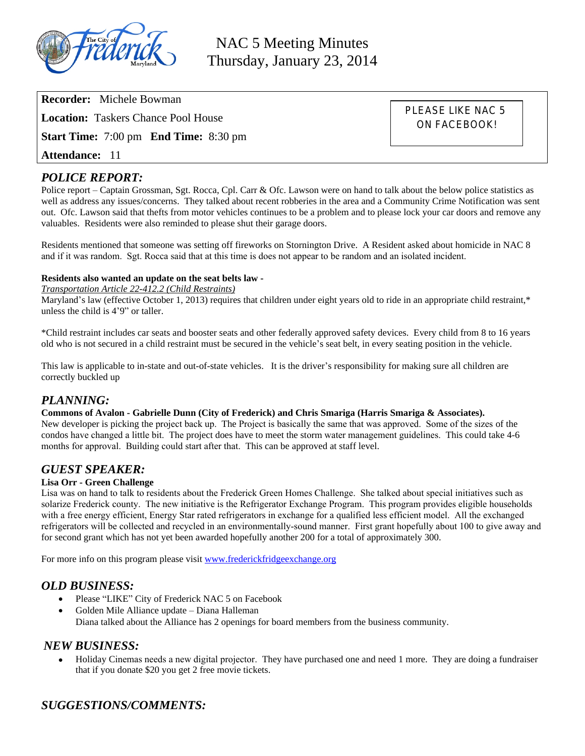

NAC 5 Meeting Minutes Thursday, January 23, 2014

**Recorder:** Michele Bowman **Location:** Taskers Chance Pool House **Start Time:** 7:00 pm **End Time:** 8:30 pm **Attendance:** 11

PLEASE LIKE NAC 5 ON FACEBOOK!

# *POLICE REPORT:*

Police report – Captain Grossman, Sgt. Rocca, Cpl. Carr & Ofc. Lawson were on hand to talk about the below police statistics as well as address any issues/concerns. They talked about recent robberies in the area and a Community Crime Notification was sent out. Ofc. Lawson said that thefts from motor vehicles continues to be a problem and to please lock your car doors and remove any valuables. Residents were also reminded to please shut their garage doors.

Residents mentioned that someone was setting off fireworks on Stornington Drive. A Resident asked about homicide in NAC 8 and if it was random. Sgt. Rocca said that at this time is does not appear to be random and an isolated incident.

### **Residents also wanted an update on the seat belts law -**

*Transportation Article 22-412.2 (Child Restraints)*

Maryland's law (effective October 1, 2013) requires that children under eight years old to ride in an appropriate child restraint,\* unless the child is 4'9" or taller.

\*Child restraint includes car seats and booster seats and other federally approved safety devices. Every child from 8 to 16 years old who is not secured in a child restraint must be secured in the vehicle's seat belt, in every seating position in the vehicle.

This law is applicable to in-state and out-of-state vehicles. It is the driver's responsibility for making sure all children are correctly buckled up

## *PLANNING:*

### **Commons of Avalon - Gabrielle Dunn (City of Frederick) and Chris Smariga (Harris Smariga & Associates).**

New developer is picking the project back up. The Project is basically the same that was approved. Some of the sizes of the condos have changed a little bit. The project does have to meet the storm water management guidelines. This could take 4-6 months for approval. Building could start after that. This can be approved at staff level.

### *GUEST SPEAKER:*

### **Lisa Orr - Green Challenge**

Lisa was on hand to talk to residents about the Frederick Green Homes Challenge. She talked about special initiatives such as solarize Frederick county. The new initiative is the Refrigerator Exchange Program. This program provides eligible households with a free energy efficient, Energy Star rated refrigerators in exchange for a qualified less efficient model. All the exchanged refrigerators will be collected and recycled in an environmentally-sound manner. First grant hopefully about 100 to give away and for second grant which has not yet been awarded hopefully another 200 for a total of approximately 300.

For more info on this program please visit [www.frederickfridgeexchange.org](http://www.frederickfridgeexchange.org)

### *OLD BUSINESS:*

- Please "LIKE" City of Frederick NAC 5 on Facebook
- Golden Mile Alliance update Diana Halleman Diana talked about the Alliance has 2 openings for board members from the business community.

### *NEW BUSINESS:*

 Holiday Cinemas needs a new digital projector. They have purchased one and need 1 more. They are doing a fundraiser that if you donate \$20 you get 2 free movie tickets.

# *SUGGESTIONS/COMMENTS:*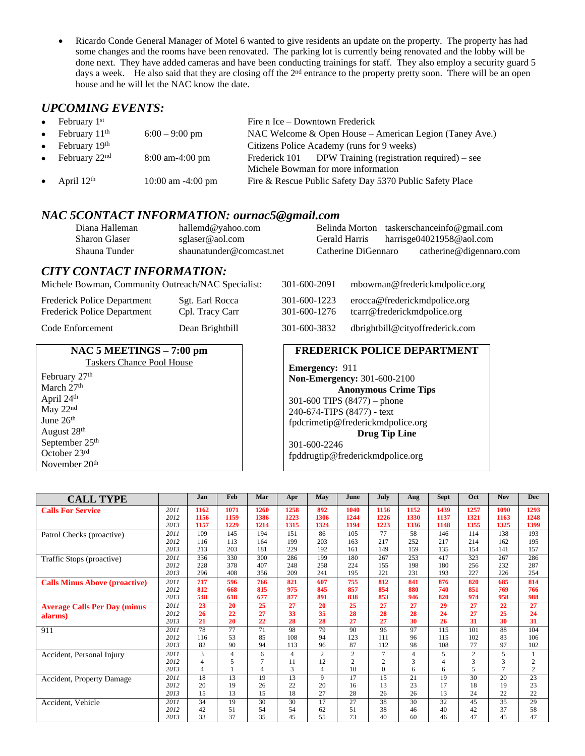Ricardo Conde General Manager of Motel 6 wanted to give residents an update on the property. The property has had some changes and the rooms have been renovated. The parking lot is currently being renovated and the lobby will be done next. They have added cameras and have been conducting trainings for staff. They also employ a security guard 5 days a week. He also said that they are closing off the 2<sup>nd</sup> entrance to the property pretty soon. There will be an open house and he will let the NAC know the date.

# *UPCOMING EVENTS:*

| • February $1st$                    |                       | Fire n Ice – Downtown Frederick                                                                 |  |  |  |  |  |  |  |
|-------------------------------------|-----------------------|-------------------------------------------------------------------------------------------------|--|--|--|--|--|--|--|
| • February $11th$                   | $6:00 - 9:00$ pm      | NAC Welcome & Open House – American Legion (Taney Ave.)                                         |  |  |  |  |  |  |  |
| $\bullet$ February 19 <sup>th</sup> |                       | Citizens Police Academy (runs for 9 weeks)                                                      |  |  |  |  |  |  |  |
| • February $22nd$                   | $8:00$ am-4:00 pm     | Frederick 101 DPW Training (registration required) – see<br>Michele Bowman for more information |  |  |  |  |  |  |  |
| • April $12th$                      | $10:00$ am $-4:00$ pm | Fire & Rescue Public Safety Day 5370 Public Safety Place                                        |  |  |  |  |  |  |  |

## *NAC 5CONTACT INFORMATION: ournac5@gmail.com*

| Diana Halleman       | hallemd@yahoo.com        |                     | Belinda Morton taskerschanceinfo@gmail.com |
|----------------------|--------------------------|---------------------|--------------------------------------------|
| <b>Sharon Glaser</b> | sglaser@aol.com          | Gerald Harris       | harrisge04021958@aol.com                   |
| Shauna Tunder        | shaunatunder@comcast.net | Catherine DiGennaro | catherine@digennaro.com                    |

## *CITY CONTACT INFORMATION:*

Michele Bowman, Community Outreach/NAC Specialist:

| Frederick Police Department | Sgt. Earl Rocca | 301-600-1223                              | erocca@frederickmdpolice.org |
|-----------------------------|-----------------|-------------------------------------------|------------------------------|
| Frederick Police Department | Cpl. Tracy Carr | 301-600-1276                              | tcarr@frederickmdpolice.org  |
| $\sim$ $\sim$ $\sim$        |                 | $\sim$ $\sim$ $\sim$ $\sim$ $\sim$ $\sim$ | .                            |

Code Enforcement Dean Brightbill

#### **NAC 5 MEETINGS – 7:00 pm** Taskers Chance Pool House

February 27<sup>th</sup> March 27<sup>th</sup> April 24th May 22<sup>nd</sup> June  $26<sup>th</sup>$ August 28th September 25<sup>th</sup> October 23rd November 20th

| 301-600-2091                 | mbowman@frederickmdpolice.org                               |
|------------------------------|-------------------------------------------------------------|
| 301-600-1223<br>301-600-1276 | erocca@frederickmdpolice.org<br>tcarr@frederickmdpolice.org |
| 301-600-3832                 | dbrightbill@cityoffrederick.com                             |

## **FREDERICK POLICE DEPARTMENT**

**Emergency:** 911 **Non-Emergency:** 301-600-2100 **Anonymous Crime Tips** 301-600 TIPS (8477) – phone 240-674-TIPS (8477) - text [fpdcrimetip@frederickmdpolice.org](mailto:fpdcrimetip@frederickmdpolice.org) **Drug Tip Line** 301-600-2246 fpddrugtip@frederickmdpolice.org

| <b>CALL TYPE</b>                     |      | Jan            | Feb            | Mar  | Apr            | May            | June           | July     | Aug            | <b>Sept</b>    | Oct            | <b>Nov</b>     | <b>Dec</b>      |
|--------------------------------------|------|----------------|----------------|------|----------------|----------------|----------------|----------|----------------|----------------|----------------|----------------|-----------------|
| <b>Calls For Service</b>             | 2011 | 1162           | 1071           | 1260 | 1258           | 892            | 1040           | 1156     | 1152           | 1439           | 1257           | 1090           | 1293            |
|                                      | 2012 | 1156           | 1159           | 1386 | 1223           | 1306           | 1244           | 1226     | 1330           | 1137           | 1321           | 1163           | 1248            |
|                                      | 2013 | 1157           | 1229           | 1214 | 1315           | 1324           | 1194           | 1223     | 1336           | 1148           | 1355           | 1325           | 1399            |
| Patrol Checks (proactive)            | 2011 | 109            | 145            | 194  | 151            | 86             | 105            | 77       | 58             | 146            | 114            | 138            | 193             |
|                                      | 2012 | 116            | 113            | 164  | 199            | 203            | 163            | 217      | 252            | 217            | 214            | 162            | 195             |
|                                      | 2013 | 213            | 203            | 181  | 229            | 192            | 161            | 149      | 159            | 135            | 154            | 141            | 157             |
| Traffic Stops (proactive)            | 2011 | 336            | 330            | 300  | 286            | 199            | 180            | 267      | 253            | 417            | 323            | 267            | 286             |
|                                      | 2012 | 228            | 378            | 407  | 248            | 258            | 224            | 155      | 198            | 180            | 256            | 232            | 287             |
|                                      | 2013 | 296            | 408            | 356  | 209            | 241            | 195            | 221      | 231            | 193            | 227            | 226            | 254             |
| <b>Calls Minus Above (proactive)</b> | 2011 | 717            | 596            | 766  | 821            | 607            | 755            | 812      | 841            | 876            | 820            | 685            | 814             |
|                                      | 2012 | 812            | 668            | 815  | 975            | 845            | 857            | 854      | 880            | 740            | 851            | 769            | 766             |
|                                      | 2013 | 548            | 618            | 677  | 877            | 891            | 838            | 853      | 946            | 820            | 974            | 958            | 988             |
| <b>Average Calls Per Day (minus</b>  | 2011 | 23             | 20             | 25   | 27             | 20             | 25             | 27       | 27             | 29             | 27             | 22             | 27              |
| alarms)                              | 2012 | 26             | 22             | 27   | 33             | 35             | 28             | 28       | 28             | 24             | 27             | 25             | 24              |
|                                      | 2013 | 21             | 20             | 22   | 28             | 28             | 27             | 27       | 30             | 26             | 31             | 30             | 31              |
| 911                                  | 2011 | 78             | 77             | 71   | 98             | 79             | 90             | 96       | 97             | 115            | 101            | 88             | 104             |
|                                      | 2012 | 116            | 53             | 85   | 108            | 94             | 123            | 111      | 96             | 115            | 102            | 83             | 106             |
|                                      | 2013 | 82             | 90             | 94   | 113            | 96             | 87             | 112      | 98             | 108            | 77             | 97             | 102             |
| Accident, Personal Injury            | 2011 | 3              | $\overline{4}$ | 6    | $\overline{4}$ | $\overline{2}$ | $\overline{c}$ | 7        | $\overline{4}$ | 5              | $\overline{c}$ | 5              |                 |
|                                      | 2012 | $\overline{4}$ | 5              |      | 11             | 12             | $\overline{c}$ | 2        | 3              | $\overline{4}$ | 3              | 3              | $\overline{c}$  |
|                                      | 2013 | $\overline{4}$ |                | 4    | 3              | 4              | 10             | $\Omega$ | 6              | 6              | 5              | $\overline{7}$ | $\overline{c}$  |
| Accident, Property Damage            | 2011 | 18             | 13             | 19   | 13             | 9              | 17             | 15       | 21             | 19             | 30             | 20             | $\overline{23}$ |
|                                      | 2012 | 20             | 19             | 26   | 22             | 20             | 16             | 13       | 23             | 17             | 18             | 19             | 23              |
|                                      | 2013 | 15             | 13             | 15   | 18             | 27             | 28             | 26       | 26             | 13             | 24             | 22             | 22              |
| Accident, Vehicle                    | 2011 | 34             | 19             | 30   | 30             | 17             | 27             | 38       | 30             | 32             | 45             | 35             | 29              |
|                                      | 2012 | 42             | 51             | 54   | 54             | 62             | 51             | 38       | 46             | 40             | 42             | 37             | 58              |
|                                      | 2013 | 33             | 37             | 35   | 45             | 55             | 73             | 40       | 60             | 46             | 47             | 45             | 47              |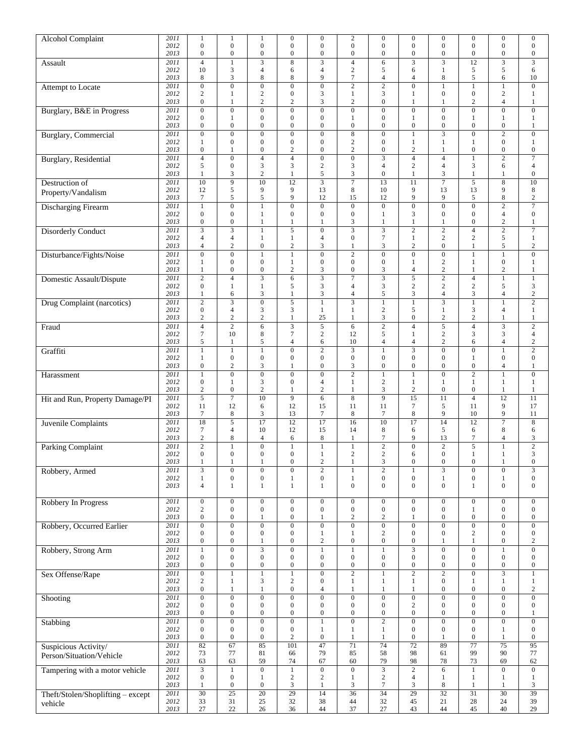| <b>Alcohol Complaint</b>          | 2011         | 1                                         | 1                                         | 1                                           | $\boldsymbol{0}$                     | $\boldsymbol{0}$                     | $\sqrt{2}$                                  | $\boldsymbol{0}$                          | $\boldsymbol{0}$                            | $\boldsymbol{0}$                            | $\boldsymbol{0}$                     | $\boldsymbol{0}$                            | $\boldsymbol{0}$                     |
|-----------------------------------|--------------|-------------------------------------------|-------------------------------------------|---------------------------------------------|--------------------------------------|--------------------------------------|---------------------------------------------|-------------------------------------------|---------------------------------------------|---------------------------------------------|--------------------------------------|---------------------------------------------|--------------------------------------|
|                                   | 2012         | $\overline{0}$                            | $\boldsymbol{0}$                          | $\boldsymbol{0}$                            | $\boldsymbol{0}$                     | $\boldsymbol{0}$                     | $\boldsymbol{0}$                            | $\boldsymbol{0}$                          | $\boldsymbol{0}$                            | $\boldsymbol{0}$                            | $\boldsymbol{0}$                     | $\boldsymbol{0}$                            | $\boldsymbol{0}$                     |
|                                   | 2013<br>2011 | $\mathbf{0}$<br>$\overline{4}$            | $\mathbf{0}$<br>$\mathbf{1}$              | $\boldsymbol{0}$<br>$\overline{\mathbf{3}}$ | $\boldsymbol{0}$<br>8                | $\boldsymbol{0}$                     | $\boldsymbol{0}$<br>$\overline{4}$          | $\boldsymbol{0}$<br>6                     | $\boldsymbol{0}$<br>$\overline{\mathbf{3}}$ | $\boldsymbol{0}$<br>$\overline{\mathbf{3}}$ | $\boldsymbol{0}$<br>$\overline{12}$  | $\boldsymbol{0}$                            | $\boldsymbol{0}$<br>$\overline{3}$   |
| Assault                           | 2012         | 10                                        | 3                                         | $\overline{4}$                              | 6                                    | $\overline{4}$                       | $\overline{c}$                              | 5                                         | 6                                           | 1                                           | 5                                    | 5                                           | 6                                    |
|                                   | 2013         | 8                                         | 3                                         | 8                                           | 8                                    | 9                                    | $\tau$                                      | $\overline{4}$                            | $\overline{4}$                              | 8                                           | 5                                    | 6                                           | 10                                   |
| Attempt to Locate                 | 2011         | $\overline{0}$                            | $\overline{0}$                            | $\overline{0}$                              | $\mathbf{0}$                         | $\boldsymbol{0}$                     | $\overline{2}$                              | $\overline{2}$                            | $\mathbf{0}$                                | 1                                           | $\mathbf{1}$                         | $\mathbf{1}$                                | $\boldsymbol{0}$                     |
|                                   | 2012<br>2013 | $\sqrt{2}$<br>$\boldsymbol{0}$            | 1<br>$\mathbf{1}$                         | $\overline{c}$<br>$\overline{c}$            | $\mathbf{0}$<br>$\mathbf{2}$         | $\mathfrak z$<br>3                   | $\mathbf{1}$<br>$\overline{2}$              | $\mathfrak{Z}$<br>$\boldsymbol{0}$        | $\mathbf{1}$                                | $\overline{0}$<br>1                         | $\boldsymbol{0}$<br>$\overline{2}$   | $\overline{c}$<br>4                         | $\mathbf{1}$<br>$\mathbf{1}$         |
| Burglary, B&E in Progress         | 2011         | $\overline{0}$                            | $\overline{0}$                            | $\boldsymbol{0}$                            | $\boldsymbol{0}$                     | $\overline{0}$                       | $\overline{0}$                              | $\overline{0}$                            | 1<br>$\mathbf{0}$                           | $\boldsymbol{0}$                            | $\overline{0}$                       | $\overline{0}$                              | $\boldsymbol{0}$                     |
|                                   | 2012         | $\boldsymbol{0}$                          | $\mathbf{1}$                              | $\boldsymbol{0}$                            | $\mathbf{0}$                         | $\boldsymbol{0}$                     | $\mathbf{1}$                                | $\boldsymbol{0}$                          | 1                                           | $\overline{0}$                              | $\mathbf{1}$                         | $\mathbf{1}$                                | $\mathbf{1}$                         |
|                                   | 2013         | $\boldsymbol{0}$                          | $\mathbf{0}$                              | $\boldsymbol{0}$                            | $\boldsymbol{0}$                     | $\boldsymbol{0}$                     | $\boldsymbol{0}$                            | $\boldsymbol{0}$                          | $\boldsymbol{0}$                            | $\boldsymbol{0}$                            | $\boldsymbol{0}$                     | $\boldsymbol{0}$                            | 1                                    |
| <b>Burglary</b> , Commercial      | 2011         | $\overline{0}$                            | $\mathbf{0}$                              | $\boldsymbol{0}$                            | $\boldsymbol{0}$                     | $\boldsymbol{0}$                     | $\overline{8}$                              | $\mathbf{0}$                              | 1                                           | 3                                           | $\boldsymbol{0}$                     | $\overline{2}$                              | $\boldsymbol{0}$                     |
|                                   | 2012<br>2013 | $\mathbf{1}$<br>$\boldsymbol{0}$          | $\mathbf{0}$<br>1                         | $\boldsymbol{0}$<br>$\boldsymbol{0}$        | $\mathbf{0}$<br>$\overline{2}$       | $\boldsymbol{0}$<br>$\boldsymbol{0}$ | $\overline{c}$<br>$\mathbf{2}$              | $\boldsymbol{0}$<br>$\boldsymbol{0}$      | $\mathbf{1}$<br>$\mathbf{2}$                | 1<br>1                                      | $\mathbf{1}$<br>$\boldsymbol{0}$     | $\boldsymbol{0}$<br>$\boldsymbol{0}$        | $\mathbf{1}$<br>$\boldsymbol{0}$     |
| Burglary, Residential             | 2011         | $\overline{4}$                            | $\mathbf{0}$                              | $\overline{4}$                              | $\overline{\mathbf{4}}$              | $\boldsymbol{0}$                     | $\boldsymbol{0}$                            | $\mathfrak 3$                             | $\overline{4}$                              | $\overline{\mathbf{4}}$                     | $\mathbf{1}$                         | $\overline{2}$                              | $\boldsymbol{7}$                     |
|                                   | 2012         | 5                                         | $\boldsymbol{0}$                          | 3                                           | 3                                    | $\sqrt{2}$                           | $\mathfrak{Z}$                              | $\overline{4}$                            | $\boldsymbol{2}$                            | $\overline{4}$                              | 3                                    | 6                                           | $\overline{4}$                       |
|                                   | 2013         | $\mathbf{1}$                              | 3                                         | $\overline{c}$                              | $\mathbf{1}$                         | $\sqrt{5}$                           | $\mathfrak{Z}$                              | $\boldsymbol{0}$                          | $\mathbf{1}$                                | 3                                           | $\mathbf{1}$                         | $\mathbf{1}$                                | $\boldsymbol{0}$                     |
| Destruction of                    | 2011         | 10                                        | 9                                         | 10                                          | 12<br>9                              | $\overline{3}$                       | $\overline{7}$                              | 13                                        | 11                                          | $\overline{7}$                              | 5                                    | 8<br>9                                      | 10                                   |
| Property/Vandalism                | 2012<br>2013 | 12<br>$\tau$                              | $\mathfrak s$<br>5                        | 9<br>5                                      | 9                                    | 13<br>12                             | $\,$ 8 $\,$<br>15                           | 10<br>12                                  | 9<br>9                                      | 13<br>9                                     | 13<br>5                              | 8                                           | 8<br>$\sqrt{2}$                      |
| <b>Discharging Firearm</b>        | 2011         | $\mathbf{1}$                              | $\overline{0}$                            | 1                                           | $\boldsymbol{0}$                     | $\overline{0}$                       | $\boldsymbol{0}$                            | $\overline{0}$                            | $\boldsymbol{0}$                            | $\boldsymbol{0}$                            | $\overline{0}$                       | $\overline{c}$                              | $\overline{7}$                       |
|                                   | 2012         | $\boldsymbol{0}$                          | $\boldsymbol{0}$                          | $\mathbf{1}$                                | $\boldsymbol{0}$                     | $\boldsymbol{0}$                     | $\boldsymbol{0}$                            | $\mathbf{1}$                              | 3                                           | $\boldsymbol{0}$                            | $\boldsymbol{0}$                     | $\overline{\mathbf{4}}$                     | $\boldsymbol{0}$                     |
|                                   | 2013         | $\boldsymbol{0}$                          | $\mathbf{0}$                              | $\mathbf{1}$                                | 1                                    | $\mathbf{1}$                         | $\mathfrak{Z}$                              | $\mathbf{1}$                              | 1                                           | 1                                           | $\boldsymbol{0}$                     | $\overline{c}$                              | $\mathbf{1}$                         |
| <b>Disorderly Conduct</b>         | 2011<br>2012 | $\overline{\mathbf{3}}$<br>$\overline{4}$ | $\overline{\mathbf{3}}$<br>$\overline{4}$ | $\mathbf{1}$<br>$\mathbf{1}$                | 5<br>$\mathbf{1}$                    | $\overline{0}$<br>$\overline{4}$     | $\overline{\mathbf{3}}$<br>$\boldsymbol{0}$ | $\overline{\mathbf{3}}$<br>$\tau$         | $\overline{2}$<br>$\mathbf{1}$              | $\overline{2}$<br>$\overline{c}$            | $\overline{4}$<br>$\mathbf{2}$       | $\overline{2}$<br>5                         | $\tau$<br>$\mathbf{1}$               |
|                                   | 2013         | $\overline{4}$                            | $\overline{c}$                            | $\boldsymbol{0}$                            | $\overline{c}$                       | 3                                    | 1                                           | $\mathfrak{Z}$                            | $\sqrt{2}$                                  | $\boldsymbol{0}$                            | $\mathbf{1}$                         | 5                                           | $\sqrt{2}$                           |
| Disturbance/Fights/Noise          | 2011         | $\overline{0}$                            | $\overline{0}$                            | $\mathbf{1}$                                | $\overline{1}$                       | $\overline{0}$                       | $\overline{2}$                              | $\overline{0}$                            | $\overline{0}$                              | $\overline{0}$                              | $\overline{1}$                       | $\overline{1}$                              | $\overline{0}$                       |
|                                   | 2012         | 1                                         | $\boldsymbol{0}$                          | $\boldsymbol{0}$                            | 1                                    | $\boldsymbol{0}$                     | $\boldsymbol{0}$                            | $\boldsymbol{0}$                          | 1                                           | $\overline{2}$                              | 1                                    | $\boldsymbol{0}$                            | 1                                    |
|                                   | 2013         | $\mathbf{1}$                              | $\mathbf{0}$                              | $\boldsymbol{0}$                            | $\overline{2}$                       | 3                                    | $\boldsymbol{0}$                            | 3                                         | $\overline{4}$                              | $\mathbf{2}$                                | $\mathbf{1}$                         | $\overline{c}$                              | $\mathbf{1}$                         |
| Domestic Assault/Dispute          | 2011<br>2012 | $\overline{2}$<br>$\mathbf{0}$            | $\overline{4}$<br>1                       | $\overline{\mathbf{3}}$<br>1                | 6<br>5                               | $\overline{\mathbf{3}}$<br>3         | $\overline{7}$<br>$\overline{4}$            | $\overline{\mathbf{3}}$<br>$\mathfrak{Z}$ | $\overline{5}$<br>$\sqrt{2}$                | $\overline{2}$<br>$\overline{\mathbf{c}}$   | $\overline{4}$<br>$\sqrt{2}$         | $\mathbf{1}$<br>5                           | $\mathbf{1}$<br>$\mathfrak{Z}$       |
|                                   | 2013         | $\mathbf{1}$                              | 6                                         | 3                                           | $\mathbf{1}$                         | $\mathfrak{Z}$                       | $\overline{4}$                              | $\sqrt{5}$                                | 3                                           | $\overline{4}$                              | 3                                    | $\overline{\mathbf{4}}$                     | $\sqrt{2}$                           |
| Drug Complaint (narcotics)        | 2011         | $\overline{2}$                            | $\overline{\mathbf{3}}$                   | $\boldsymbol{0}$                            | 5                                    | $\mathbf{1}$                         | $\overline{\mathbf{3}}$                     | $\mathbf{1}$                              | 1                                           | 3                                           | $\mathbf{1}$                         | $\mathbf{1}$                                | $\overline{2}$                       |
|                                   | 2012         | $\boldsymbol{0}$                          | $\overline{4}$                            | 3                                           | 3                                    | $\mathbf{1}$                         | $\mathbf{1}$                                | $\sqrt{2}$                                | 5                                           | 1                                           | 3                                    | 4                                           | 1                                    |
|                                   | 2013<br>2011 | $\sqrt{2}$<br>$\overline{4}$              | $\sqrt{2}$<br>$\overline{2}$              | $\overline{c}$<br>$\overline{6}$            | 1<br>$\overline{\mathbf{3}}$         | 25<br>$\overline{5}$                 | $\mathbf{1}$<br>$\overline{6}$              | $\mathfrak{Z}$<br>$\overline{2}$          | $\boldsymbol{0}$<br>$\overline{4}$          | $\sqrt{2}$<br>$\overline{5}$                | $\sqrt{2}$<br>$\overline{4}$         | $\mathbf{1}$<br>$\overline{\mathbf{3}}$     | $\mathbf{1}$<br>$\overline{2}$       |
| Fraud                             | 2012         | $\tau$                                    | 10                                        | 8                                           | $\overline{7}$                       | $\sqrt{2}$                           | 12                                          | 5                                         | $\mathbf{1}$                                | $\sqrt{2}$                                  | 3                                    | 3                                           | $\overline{4}$                       |
|                                   | 2013         | 5                                         | 1                                         | 5                                           | $\overline{4}$                       | 6                                    | 10                                          | $\overline{4}$                            | $\overline{4}$                              | $\overline{2}$                              | 6                                    | $\overline{\mathbf{4}}$                     | $\sqrt{2}$                           |
| Graffiti                          | 2011         | $\overline{1}$                            | $\mathbf{1}$                              | $\mathbf{1}$                                | $\overline{0}$                       | $\overline{2}$                       | $\overline{3}$                              | $\mathbf{1}$                              |                                             | $\overline{0}$                              | $\overline{0}$                       | $\mathbf{1}$                                | $\overline{2}$                       |
|                                   | 2012<br>2013 | $\mathbf{1}$<br>$\mathbf{0}$              | $\boldsymbol{0}$<br>$\sqrt{2}$            | $\boldsymbol{0}$<br>3                       | $\boldsymbol{0}$<br>1                | $\boldsymbol{0}$<br>$\mathbf{0}$     | $\boldsymbol{0}$<br>$\mathfrak{Z}$          | $\boldsymbol{0}$<br>$\boldsymbol{0}$      | $\boldsymbol{0}$<br>$\boldsymbol{0}$        | $\boldsymbol{0}$<br>$\overline{0}$          | $\mathbf{1}$<br>$\boldsymbol{0}$     | $\boldsymbol{0}$<br>4                       | $\boldsymbol{0}$<br>1                |
| Harassment                        | 2011         | $\overline{1}$                            | $\overline{0}$                            | $\overline{0}$                              | $\mathbf{0}$                         | $\overline{0}$                       | $\overline{2}$                              | $\mathbf{1}$                              | $\mathbf{1}$                                | $\overline{0}$                              | $\overline{2}$                       | $\mathbf{1}$                                | $\boldsymbol{0}$                     |
|                                   | 2012         | $\boldsymbol{0}$                          | $\mathbf{1}$                              | 3                                           | $\boldsymbol{0}$                     | $\overline{4}$                       | $\mathbf{1}$                                | $\sqrt{2}$                                | $\mathbf{1}$                                | 1                                           | $\mathbf{1}$                         | $\mathbf{1}$                                | $\mathbf{1}$                         |
|                                   | 2013         | $\overline{c}$                            | $\boldsymbol{0}$                          | $\overline{c}$                              | $\mathbf{1}$                         | $\overline{c}$                       | $\mathbf{1}$                                | 3                                         | $\mathbf{2}$                                | $\boldsymbol{0}$                            | $\boldsymbol{0}$                     | $\mathbf{1}$                                | $\mathbf{1}$                         |
| Hit and Run, Property Damage/PI   | 2011         | $\overline{5}$                            | $\overline{7}$                            | 10                                          | 9                                    | 6                                    | $\overline{8}$                              | $\overline{9}$                            | $\overline{15}$                             | 11                                          | $\overline{4}$                       | $\overline{12}$                             | 11                                   |
|                                   | 2012<br>2013 | 11<br>7                                   | 12<br>$\,$ 8 $\,$                         | 6<br>3                                      | 12<br>13                             | 15<br>$\overline{7}$                 | 11<br>8                                     | 11<br>7                                   | $\tau$<br>8                                 | 5<br>9                                      | 11<br>10                             | 9<br>9                                      | 17<br>11                             |
| Juvenile Complaints               | 2011         | $\overline{18}$                           | $\overline{5}$                            | $\overline{17}$                             | 12                                   | $\overline{17}$                      | 16                                          | $\overline{10}$                           | $\overline{17}$                             | 14                                          | $\overline{12}$                      | 7                                           | 8                                    |
|                                   | 2012         | $\tau$                                    | $\overline{4}$                            | 10                                          | 12                                   | 15                                   | 14                                          | $\,8\,$                                   | 6                                           | 5                                           | 6                                    | 8                                           | 6                                    |
|                                   | 2013         | $\sqrt{2}$                                | 8                                         | $\overline{4}$                              | 6                                    | $\,$ 8 $\,$                          | $\mathbf{1}$                                | $\boldsymbol{7}$                          | 9                                           | 13                                          | $\boldsymbol{7}$                     | 4                                           | 3                                    |
| <b>Parking Complaint</b>          | 2011<br>2012 | $\overline{2}$<br>$\mathbf{0}$            | $\mathbf{1}$<br>$\mathbf{0}$              | $\boldsymbol{0}$<br>$\boldsymbol{0}$        | $\mathbf{1}$<br>$\mathbf{0}$         | $\overline{1}$<br>$\mathbf{1}$       | $\overline{1}$<br>$\overline{c}$            | $\overline{2}$<br>$\overline{c}$          | $\boldsymbol{0}$<br>6                       | $\overline{2}$<br>$\mathbf{0}$              | $\overline{5}$<br>$\mathbf{1}$       | $\mathbf{1}$<br>$\mathbf{1}$                | $\overline{2}$<br>3                  |
|                                   | 2013         | 1                                         | 1                                         | 1                                           | $\theta$                             | 2                                    | 1                                           | 3                                         | $\boldsymbol{0}$                            | $\boldsymbol{0}$                            | $\boldsymbol{0}$                     | 1                                           | $\theta$                             |
| Robbery, Armed                    | 2011         | $\overline{\mathbf{3}}$                   | $\overline{0}$                            | $\overline{0}$                              | $\overline{0}$                       | $\overline{2}$                       | $\mathbf{1}$                                | $\overline{2}$                            | $\mathbf{1}$                                | $\overline{\mathbf{3}}$                     | $\overline{0}$                       | $\overline{0}$                              | $\overline{\mathbf{3}}$              |
|                                   | 2012         | $\mathbf{1}$                              | $\boldsymbol{0}$                          | $\boldsymbol{0}$                            | $\mathbf{1}$                         | $\boldsymbol{0}$                     | $\mathbf{1}$                                | $\boldsymbol{0}$                          | $\boldsymbol{0}$                            | 1                                           | $\boldsymbol{0}$                     | $\mathbf{1}$                                | $\boldsymbol{0}$                     |
|                                   | 2013         | $\overline{4}$                            | $\mathbf{1}$                              | $\mathbf{1}$                                | $\mathbf{1}$                         | $\mathbf{1}$                         | $\boldsymbol{0}$                            | $\boldsymbol{0}$                          | $\boldsymbol{0}$                            | $\boldsymbol{0}$                            | $\mathbf{1}$                         | $\boldsymbol{0}$                            | $\boldsymbol{0}$                     |
| Robbery In Progress               | 2011         | $\boldsymbol{0}$                          | $\boldsymbol{0}$                          | $\boldsymbol{0}$                            | $\boldsymbol{0}$                     | $\boldsymbol{0}$                     | $\boldsymbol{0}$                            | $\boldsymbol{0}$                          | $\boldsymbol{0}$                            | $\boldsymbol{0}$                            | $\boldsymbol{0}$                     | $\boldsymbol{0}$                            | $\boldsymbol{0}$                     |
|                                   | 2012         | $\sqrt{2}$                                | $\overline{0}$                            | $\boldsymbol{0}$                            | $\boldsymbol{0}$                     | $\boldsymbol{0}$                     | $\boldsymbol{0}$                            | $\boldsymbol{0}$                          | $\boldsymbol{0}$                            | $\boldsymbol{0}$                            | $\mathbf{1}$                         | $\boldsymbol{0}$                            | $\boldsymbol{0}$                     |
|                                   | 2013         | $\boldsymbol{0}$                          | $\boldsymbol{0}$                          | $\mathbf{1}$                                | $\overline{0}$                       | $\mathbf{1}$                         | $\sqrt{2}$                                  | $\sqrt{2}$                                | $\mathbf{1}$                                | $\boldsymbol{0}$                            | $\boldsymbol{0}$                     | $\boldsymbol{0}$                            | $\boldsymbol{0}$                     |
| Robbery, Occurred Earlier         | 2011<br>2012 | $\boldsymbol{0}$<br>$\boldsymbol{0}$      | $\overline{0}$<br>$\boldsymbol{0}$        | $\boldsymbol{0}$<br>$\boldsymbol{0}$        | $\boldsymbol{0}$<br>$\boldsymbol{0}$ | $\boldsymbol{0}$<br>$\mathbf{1}$     | $\overline{0}$<br>1                         | $\overline{0}$<br>$\sqrt{2}$              | $\boldsymbol{0}$<br>$\boldsymbol{0}$        | $\boldsymbol{0}$<br>$\boldsymbol{0}$        | $\boldsymbol{0}$<br>$\sqrt{2}$       | $\overline{0}$<br>$\boldsymbol{0}$          | $\boldsymbol{0}$<br>$\boldsymbol{0}$ |
|                                   | 2013         | $\boldsymbol{0}$                          | $\boldsymbol{0}$                          | 1                                           | $\boldsymbol{0}$                     | $\sqrt{2}$                           | $\boldsymbol{0}$                            | $\boldsymbol{0}$                          | $\boldsymbol{0}$                            | 1                                           | $\mathbf{1}$                         | $\boldsymbol{0}$                            | $\overline{c}$                       |
| Robbery, Strong Arm               | 2011         | $\overline{1}$                            | $\overline{0}$                            | $\overline{\mathbf{3}}$                     | $\overline{0}$                       | $\mathbf{1}$                         | $\overline{1}$                              | $\mathbf{1}$                              | 3                                           | $\overline{0}$                              | $\overline{0}$                       | $\mathbf{1}$                                | $\overline{0}$                       |
|                                   | 2012         | $\boldsymbol{0}$                          | $\boldsymbol{0}$                          | $\boldsymbol{0}$                            | $\boldsymbol{0}$                     | $\boldsymbol{0}$                     | $\boldsymbol{0}$                            | $\boldsymbol{0}$                          | $\boldsymbol{0}$                            | $\boldsymbol{0}$                            | $\mathbf{0}$                         | $\boldsymbol{0}$                            | $\boldsymbol{0}$                     |
| Sex Offense/Rape                  | 2013<br>2011 | $\boldsymbol{0}$<br>$\overline{0}$        | $\boldsymbol{0}$<br>$\mathbf{1}$          | $\boldsymbol{0}$<br>$\mathbf{1}$            | $\boldsymbol{0}$<br>$\mathbf{1}$     | $\boldsymbol{0}$<br>$\overline{0}$   | $\boldsymbol{0}$<br>$\overline{2}$          | $\boldsymbol{0}$<br>$\mathbf{1}$          | $\boldsymbol{0}$<br>$\overline{2}$          | $\boldsymbol{0}$<br>$\overline{2}$          | $\boldsymbol{0}$<br>$\overline{0}$   | $\boldsymbol{0}$<br>$\overline{\mathbf{3}}$ | $\boldsymbol{0}$<br>$\mathbf{1}$     |
|                                   | 2012         | $\sqrt{2}$                                | $\mathbf{1}$                              | 3                                           | $\sqrt{2}$                           | $\boldsymbol{0}$                     | $\mathbf{1}$                                | $\mathbf{1}$                              | $\mathbf{1}$                                | $\boldsymbol{0}$                            | $\mathbf{1}$                         | $\mathbf{1}$                                | $\mathbf{1}$                         |
|                                   | 2013         | $\boldsymbol{0}$                          | 1                                         | $\mathbf{1}$                                | $\boldsymbol{0}$                     | $\overline{4}$                       | $\mathbf{1}$                                | $\mathbf{1}$                              | $\mathbf{1}$                                | $\boldsymbol{0}$                            | $\boldsymbol{0}$                     | $\boldsymbol{0}$                            | $\sqrt{2}$                           |
| Shooting                          | 2011         | $\overline{0}$                            | $\overline{0}$                            | $\overline{0}$                              | $\overline{0}$                       | $\overline{0}$                       | $\overline{0}$                              | $\overline{0}$                            | $\overline{0}$                              | $\overline{0}$                              | $\overline{0}$                       | $\overline{0}$                              | $\boldsymbol{0}$                     |
|                                   | 2012<br>2013 | $\boldsymbol{0}$<br>$\boldsymbol{0}$      | $\boldsymbol{0}$<br>$\boldsymbol{0}$      | $\boldsymbol{0}$<br>$\boldsymbol{0}$        | $\boldsymbol{0}$<br>$\boldsymbol{0}$ | $\boldsymbol{0}$<br>$\boldsymbol{0}$ | $\boldsymbol{0}$<br>$\boldsymbol{0}$        | $\boldsymbol{0}$<br>$\boldsymbol{0}$      | $\sqrt{2}$<br>$\boldsymbol{0}$              | $\boldsymbol{0}$<br>$\boldsymbol{0}$        | $\boldsymbol{0}$<br>$\boldsymbol{0}$ | $\boldsymbol{0}$<br>$\boldsymbol{0}$        | $\boldsymbol{0}$<br>$\mathbf{1}$     |
| Stabbing                          | 2011         | $\boldsymbol{0}$                          | $\overline{0}$                            | $\mathbf{0}$                                | $\overline{0}$                       | $\mathbf{1}$                         | $\boldsymbol{0}$                            | $\overline{2}$                            | $\mathbf{0}$                                | $\overline{0}$                              | $\overline{0}$                       | $\overline{0}$                              | $\mathbf{0}$                         |
|                                   | 2012         | $\boldsymbol{0}$                          | $\boldsymbol{0}$                          | $\boldsymbol{0}$                            | $\boldsymbol{0}$                     | $\mathbf{1}$                         | 1                                           | $\mathbf{1}$                              | $\boldsymbol{0}$                            | $\boldsymbol{0}$                            | $\boldsymbol{0}$                     | 1                                           | $\boldsymbol{0}$                     |
|                                   | 2013         | $\boldsymbol{0}$                          | $\boldsymbol{0}$                          | $\boldsymbol{0}$                            | $\sqrt{2}$                           | $\boldsymbol{0}$                     | $\mathbf{1}$                                | $\mathbf{1}$                              | $\boldsymbol{0}$                            | $\mathbf{1}$                                | $\boldsymbol{0}$                     | $\mathbf{1}$                                | $\boldsymbol{0}$                     |
| Suspicious Activity/              | 2011         | $\overline{82}$                           | 67                                        | 85                                          | 101                                  | 47                                   | $\overline{71}$                             | 74                                        | $\overline{72}$                             | 89                                          | $\overline{77}$                      | $\overline{75}$                             | $\overline{95}$                      |
| Person/Situation/Vehicle          | 2012<br>2013 | 73<br>63                                  | 77<br>63                                  | 81<br>59                                    | 66<br>74                             | 79<br>67                             | 85<br>60                                    | 58<br>79                                  | 98<br>98                                    | 61<br>78                                    | 99<br>73                             | 90<br>69                                    | 77<br>62                             |
| Tampering with a motor vehicle    | 2011         | $\overline{3}$                            | $\mathbf{1}$                              | $\overline{0}$                              | $\overline{1}$                       | $\overline{0}$                       | $\overline{0}$                              | $\overline{3}$                            | $\overline{2}$                              | 6                                           | $\mathbf{1}$                         | $\overline{0}$                              | $\overline{0}$                       |
|                                   | 2012         | $\boldsymbol{0}$                          | $\boldsymbol{0}$                          | $\mathbf{1}$                                | $\boldsymbol{2}$                     | $\sqrt{2}$                           | $\mathbf{1}$                                | $\sqrt{2}$                                | $\overline{4}$                              | $\mathbf{1}$                                | $\mathbf{1}$                         | $\mathbf{1}$                                | $\mathbf{1}$                         |
|                                   | 2013         | $\mathbf{1}$                              | $\boldsymbol{0}$                          | $\boldsymbol{0}$                            | 3                                    | $\mathbf{1}$                         | 3                                           | $\boldsymbol{7}$                          | $\mathfrak{Z}$                              | 8                                           | $\mathbf{1}$                         | 1                                           | $\mathfrak{Z}$                       |
| Theft/Stolen/Shoplifting - except | 2011<br>2012 | $\overline{30}$<br>33                     | $\overline{25}$<br>31                     | $\overline{20}$<br>25                       | 29<br>$32\,$                         | $\overline{14}$<br>38                | $\overline{36}$<br>44                       | $\overline{34}$<br>$32\,$                 | $\overline{29}$<br>45                       | $\overline{32}$<br>21                       | $\overline{31}$<br>28                | $\overline{30}$<br>24                       | $\overline{39}$<br>39                |
| vehicle                           | 2013         | $27\,$                                    | $22\,$                                    | 26                                          | 36                                   | 44                                   | 37                                          | 27                                        | 43                                          | 44                                          | 45                                   | 40                                          | 29                                   |